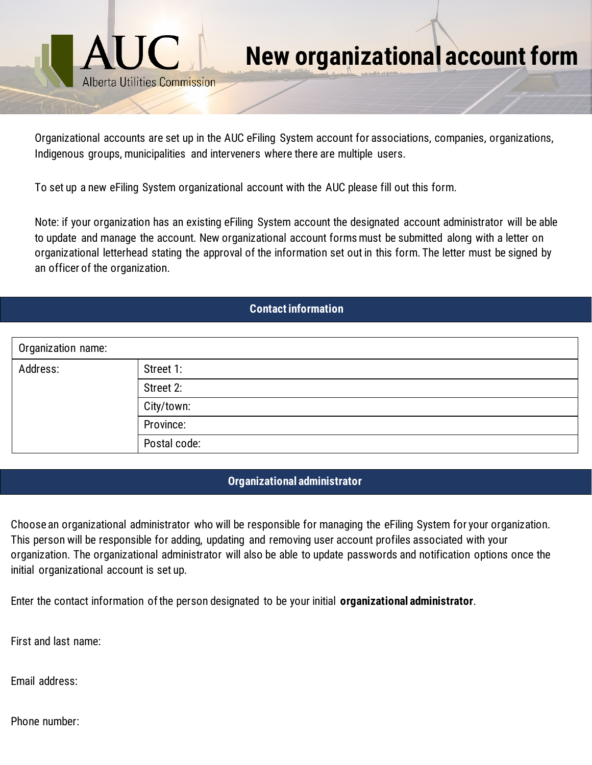

Organizational accounts are set up in the AUC eFiling System account for associations, companies, organizations, Indigenous groups, municipalities and interveners where there are multiple users.

To set up a new eFiling System organizational account with the AUC please fill out this form.

Note: if your organization has an existing eFiling System account the designated account administrator will be able to update and manage the account. New organizational account forms must be submitted along with a letter on organizational letterhead stating the approval of the information set out in this form. The letter must be signed by an officer of the organization.

## **Contact information**

| Organization name: |              |
|--------------------|--------------|
| Address:           | Street 1:    |
|                    | Street 2:    |
|                    | City/town:   |
|                    | Province:    |
|                    | Postal code: |

## **Organizational administrator**

Choose an organizational administrator who will be responsible for managing the eFiling System for your organization. This person will be responsible for adding, updating and removing user account profiles associated with your organization. The organizational administrator will also be able to update passwords and notification options once the initial organizational account is set up.

Enter the contact information of the person designated to be your initial **organizational administrator**.

First and last name:

Email address:

Phone number: